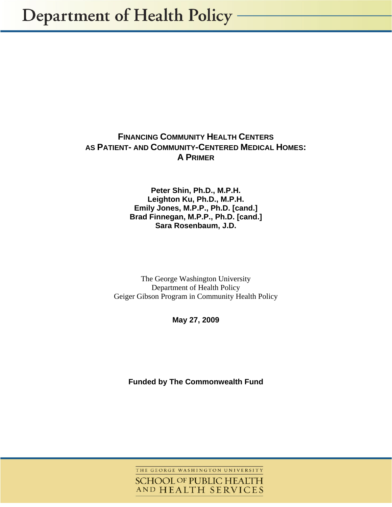# **FINANCING COMMUNITY HEALTH CENTERS AS PATIENT- AND COMMUNITY-CENTERED MEDICAL HOMES: A PRIMER**

**Peter Shin, Ph.D., M.P.H. Leighton Ku, Ph.D., M.P.H. Emily Jones, M.P.P., Ph.D. [cand.] Brad Finnegan, M.P.P., Ph.D. [cand.] Sara Rosenbaum, J.D.** 

The George Washington University Department of Health Policy Geiger Gibson Program in Community Health Policy

**May 27, 2009** 

**Funded by The Commonwealth Fund** 

THE GEORGE WASHINGTON UNIVERSITY **SCHOOL OF PUBLIC HEALTH** AND HEALTH SERVICES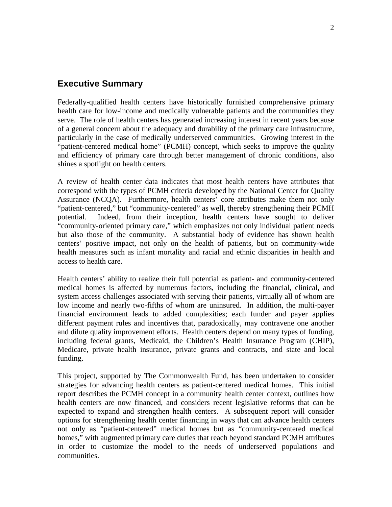# **Executive Summary**

Federally-qualified health centers have historically furnished comprehensive primary health care for low-income and medically vulnerable patients and the communities they serve. The role of health centers has generated increasing interest in recent years because of a general concern about the adequacy and durability of the primary care infrastructure, particularly in the case of medically underserved communities. Growing interest in the "patient-centered medical home" (PCMH) concept, which seeks to improve the quality and efficiency of primary care through better management of chronic conditions, also shines a spotlight on health centers.

A review of health center data indicates that most health centers have attributes that correspond with the types of PCMH criteria developed by the National Center for Quality Assurance (NCQA). Furthermore, health centers' core attributes make them not only "patient-centered," but "community-centered" as well, thereby strengthening their PCMH potential. Indeed, from their inception, health centers have sought to deliver "community-oriented primary care," which emphasizes not only individual patient needs but also those of the community. A substantial body of evidence has shown health centers' positive impact, not only on the health of patients, but on community-wide health measures such as infant mortality and racial and ethnic disparities in health and access to health care.

Health centers' ability to realize their full potential as patient- and community-centered medical homes is affected by numerous factors, including the financial, clinical, and system access challenges associated with serving their patients, virtually all of whom are low income and nearly two-fifths of whom are uninsured. In addition, the multi-payer financial environment leads to added complexities; each funder and payer applies different payment rules and incentives that, paradoxically, may contravene one another and dilute quality improvement efforts. Health centers depend on many types of funding, including federal grants, Medicaid, the Children's Health Insurance Program (CHIP), Medicare, private health insurance, private grants and contracts, and state and local funding.

This project, supported by The Commonwealth Fund, has been undertaken to consider strategies for advancing health centers as patient-centered medical homes. This initial report describes the PCMH concept in a community health center context, outlines how health centers are now financed, and considers recent legislative reforms that can be expected to expand and strengthen health centers. A subsequent report will consider options for strengthening health center financing in ways that can advance health centers not only as "patient-centered" medical homes but as "community-centered medical homes," with augmented primary care duties that reach beyond standard PCMH attributes in order to customize the model to the needs of underserved populations and communities.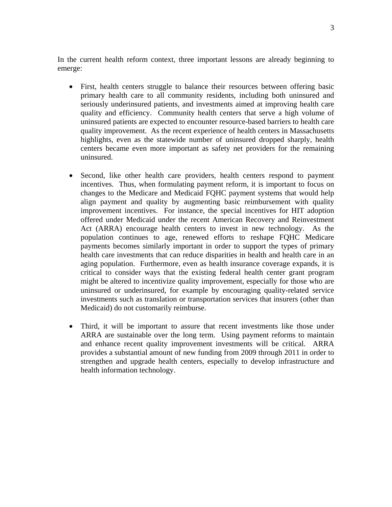In the current health reform context, three important lessons are already beginning to emerge:

- First, health centers struggle to balance their resources between offering basic primary health care to all community residents, including both uninsured and seriously underinsured patients, and investments aimed at improving health care quality and efficiency. Community health centers that serve a high volume of uninsured patients are expected to encounter resource-based barriers to health care quality improvement. As the recent experience of health centers in Massachusetts highlights, even as the statewide number of uninsured dropped sharply, health centers became even more important as safety net providers for the remaining uninsured.
- Second, like other health care providers, health centers respond to payment incentives. Thus, when formulating payment reform, it is important to focus on changes to the Medicare and Medicaid FQHC payment systems that would help align payment and quality by augmenting basic reimbursement with quality improvement incentives. For instance, the special incentives for HIT adoption offered under Medicaid under the recent American Recovery and Reinvestment Act (ARRA) encourage health centers to invest in new technology. As the population continues to age, renewed efforts to reshape FQHC Medicare payments becomes similarly important in order to support the types of primary health care investments that can reduce disparities in health and health care in an aging population. Furthermore, even as health insurance coverage expands, it is critical to consider ways that the existing federal health center grant program might be altered to incentivize quality improvement, especially for those who are uninsured or underinsured, for example by encouraging quality-related service investments such as translation or transportation services that insurers (other than Medicaid) do not customarily reimburse.
- Third, it will be important to assure that recent investments like those under ARRA are sustainable over the long term. Using payment reforms to maintain and enhance recent quality improvement investments will be critical. ARRA provides a substantial amount of new funding from 2009 through 2011 in order to strengthen and upgrade health centers, especially to develop infrastructure and health information technology.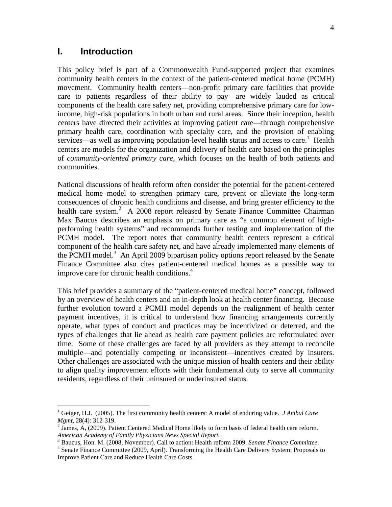# **I. Introduction**

<u>.</u>

This policy brief is part of a Commonwealth Fund-supported project that examines community health centers in the context of the patient-centered medical home (PCMH) movement. Community health centers—non-profit primary care facilities that provide care to patients regardless of their ability to pay—are widely lauded as critical components of the health care safety net, providing comprehensive primary care for lowincome, high-risk populations in both urban and rural areas. Since their inception, health centers have directed their activities at improving patient care—through comprehensive primary health care, coordination with specialty care, and the provision of enabling services—as well as improving population-level health status and access to care.<sup>1</sup> Health centers are models for the organization and delivery of health care based on the principles of *community-oriented primary care*, which focuses on the health of both patients and communities.

National discussions of health reform often consider the potential for the patient-centered medical home model to strengthen primary care, prevent or alleviate the long-term consequences of chronic health conditions and disease, and bring greater efficiency to the health care system.<sup>2</sup> A 2008 report released by Senate Finance Committee Chairman Max Baucus describes an emphasis on primary care as "a common element of highperforming health systems" and recommends further testing and implementation of the PCMH model. The report notes that community health centers represent a critical component of the health care safety net, and have already implemented many elements of the PCMH model.<sup>3</sup> An April 2009 bipartisan policy options report released by the Senate Finance Committee also cites patient-centered medical homes as a possible way to improve care for chronic health conditions.<sup>4</sup>

This brief provides a summary of the "patient-centered medical home" concept, followed by an overview of health centers and an in-depth look at health center financing. Because further evolution toward a PCMH model depends on the realignment of health center payment incentives, it is critical to understand how financing arrangements currently operate, what types of conduct and practices may be incentivized or deterred, and the types of challenges that lie ahead as health care payment policies are reformulated over time. Some of these challenges are faced by all providers as they attempt to reconcile multiple—and potentially competing or inconsistent—incentives created by insurers. Other challenges are associated with the unique mission of health centers and their ability to align quality improvement efforts with their fundamental duty to serve all community residents, regardless of their uninsured or underinsured status.

<sup>&</sup>lt;sup>1</sup> Geiger, H.J. (2005). The first community health centers: A model of enduring value. *J Ambul Care Mgmt,* 28(4): 312-319. 2

 $2$  James, A, (2009). Patient Centered Medical Home likely to form basis of federal health care reform. *American Academy of Family Physicians News Special Report*. 3

<sup>&</sup>lt;sup>3</sup> Baucus, Hon. M. (2008, November). Call to action: Health reform 2009. Senate Finance Committee.

<sup>&</sup>lt;sup>4</sup> Senate Finance Committee (2009, April). Transforming the Health Care Delivery System: Proposals to Improve Patient Care and Reduce Health Care Costs.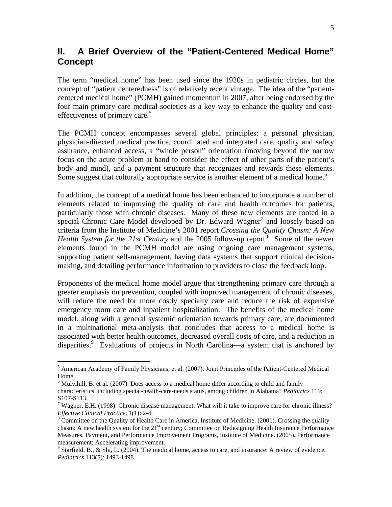# **II. A Brief Overview of the "Patient-Centered Medical Home" Concept**

The term "medical home" has been used since the 1920s in pediatric circles, but the concept of "patient centeredness" is of relatively recent vintage. The idea of the "patientcentered medical home" (PCMH) gained momentum in 2007, after being endorsed by the four main primary care medical societies as a key way to enhance the quality and costeffectiveness of primary care.<sup>5</sup>

The PCMH concept encompasses several global principles: a personal physician, physician-directed medical practice, coordinated and integrated care, quality and safety assurance, enhanced access, a "whole person" orientation (moving beyond the narrow focus on the acute problem at hand to consider the effect of other parts of the patient's body and mind), and a payment structure that recognizes and rewards these elements. Some suggest that culturally appropriate service is another element of a medical home.<sup>6</sup>

In addition, the concept of a medical home has been enhanced to incorporate a number of elements related to improving the quality of care and health outcomes for patients, particularly those with chronic diseases. Many of these new elements are rooted in a special Chronic Care Model developed by Dr. Edward Wagner<sup>7</sup> and loosely based on criteria from the Institute of Medicine's 2001 report *Crossing the Quality Chasm: A New Health System for the 21st Century* and the 2005 follow-up report.<sup>8</sup> Some of the newer elements found in the PCMH model are using ongoing care management systems, supporting patient self-management, having data systems that support clinical decisionmaking, and detailing performance information to providers to close the feedback loop.

Proponents of the medical home model argue that strengthening primary care through a greater emphasis on prevention, coupled with improved management of chronic diseases, will reduce the need for more costly specialty care and reduce the risk of expensive emergency room care and inpatient hospitalization. The benefits of the medical home model, along with a general systemic orientation towards primary care, are documented in a multinational meta-analysis that concludes that access to a medical home is associated with better health outcomes, decreased overall costs of care, and a reduction in disparities.<sup>9</sup> Evaluations of projects in North Carolina—a system that is anchored by

1

<sup>&</sup>lt;sup>5</sup> American Academy of Family Physicians, et al. (2007). Joint Principles of the Patient-Centered Medical Home.

 $6$  Mulvihill, B. et al. (2007). Does access to a medical home differ according to child and family characteristics, including special-health-care-needs status, among children in Alabama? *Pediatrics* 119: S107-S113.

<sup>&</sup>lt;sup>7</sup> Wagner, E.H. (1998). Chronic disease management: What will it take to improve care for chronic illness? *Effective Clinical Practice*, 1(1): 2-4. 8

 $8^{\circ}$ Committee on the Quality of Health Care in America, Institute of Medicine. (2001). Crossing the quality chasm: A new health system for the  $21<sup>st</sup>$  century; Committee on Redesigning Health Insurance Performance Measures, Payment, and Performance Improvement Programs, Institute of Medicine. (2005). Performance measurement: Accelerating improvement.

<sup>&</sup>lt;sup>9</sup> Starfield, B., & Shi, L. (2004). The medical home, access to care, and insurance: A review of evidence. *Pediatrics* 113(5): 1493-1498.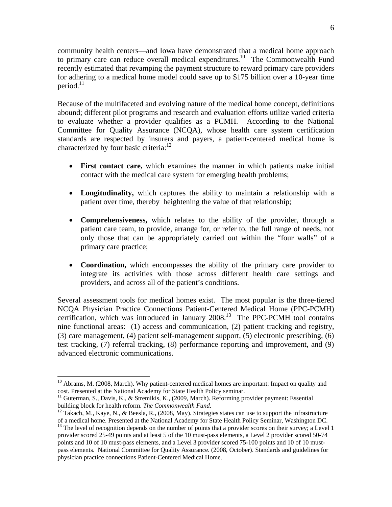community health centers—and Iowa have demonstrated that a medical home approach to primary care can reduce overall medical expenditures.<sup>10</sup> The Commonwealth Fund recently estimated that revamping the payment structure to reward primary care providers for adhering to a medical home model could save up to \$175 billion over a 10-year time period. $11$ 

Because of the multifaceted and evolving nature of the medical home concept, definitions abound; different pilot programs and research and evaluation efforts utilize varied criteria to evaluate whether a provider qualifies as a PCMH. According to the National Committee for Quality Assurance (NCQA), whose health care system certification standards are respected by insurers and payers, a patient-centered medical home is characterized by four basic criteria: $12$ 

- **First contact care,** which examines the manner in which patients make initial contact with the medical care system for emerging health problems;
- **Longitudinality,** which captures the ability to maintain a relationship with a patient over time, thereby heightening the value of that relationship;
- **Comprehensiveness,** which relates to the ability of the provider, through a patient care team, to provide, arrange for, or refer to, the full range of needs, not only those that can be appropriately carried out within the "four walls" of a primary care practice;
- **Coordination,** which encompasses the ability of the primary care provider to integrate its activities with those across different health care settings and providers, and across all of the patient's conditions.

Several assessment tools for medical homes exist. The most popular is the three-tiered NCQA Physician Practice Connections Patient-Centered Medical Home (PPC-PCMH) certification, which was introduced in January  $2008<sup>13</sup>$  The PPC-PCMH tool contains nine functional areas: (1) access and communication, (2) patient tracking and registry, (3) care management, (4) patient self-management support, (5) electronic prescribing, (6) test tracking, (7) referral tracking, (8) performance reporting and improvement, and (9) advanced electronic communications.

1

 $10$  Abrams, M. (2008, March). Why patient-centered medical homes are important: Impact on quality and cost. Presented at the National Academy for State Health Policy seminar.

 $11$  Guterman, S., Davis, K., & Stremikis, K., (2009, March). Reforming provider payment: Essential building block for health reform. *The Commonwealth Fund*.<br><sup>12</sup> Takach, M., Kaye, N., & Beesla, R., (2008, May). Strategies states can use to support the infrastructure

of a medical home. Presented at the National Academy for State Health Policy Seminar, Washington DC. 13 The level of recognition depends on the number of points that a provider scores on their survey; a Level 1 provider scored 25-49 points and at least 5 of the 10 must-pass elements, a Level 2 provider scored 50-74 points and 10 of 10 must-pass elements, and a Level 3 provider scored 75-100 points and 10 of 10 mustpass elements. National Committee for Quality Assurance. (2008, October). Standards and guidelines for physician practice connections Patient-Centered Medical Home.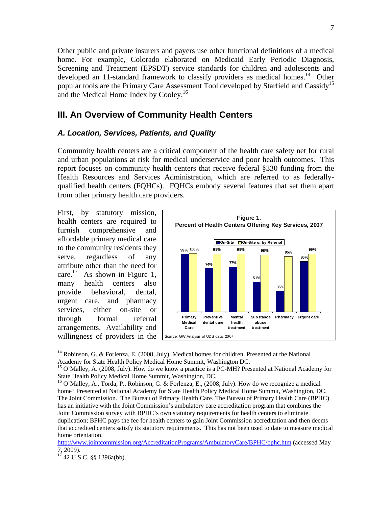Other public and private insurers and payers use other functional definitions of a medical home. For example, Colorado elaborated on Medicaid Early Periodic Diagnosis, Screening and Treatment (EPSDT) service standards for children and adolescents and developed an 11-standard framework to classify providers as medical homes.<sup>14</sup> Other popular tools are the Primary Care Assessment Tool developed by Starfield and Cassidy<sup>15</sup> and the Medical Home Index by Cooley.<sup>16</sup>

### **III. An Overview of Community Health Centers**

#### *A. Location, Services, Patients, and Quality*

Community health centers are a critical component of the health care safety net for rural and urban populations at risk for medical underservice and poor health outcomes. This report focuses on community health centers that receive federal §330 funding from the Health Resources and Services Administration, which are referred to as federallyqualified health centers (FQHCs). FQHCs embody several features that set them apart from other primary health care providers.

First, by statutory mission, health centers are required to furnish comprehensive and affordable primary medical care to the community residents they serve, regardless of any attribute other than the need for care.<sup>17</sup> As shown in Figure 1, many health centers also provide behavioral, dental, urgent care, and pharmacy services, either on-site or through formal referral arrangements. Availability and willingness of providers in the



<sup>&</sup>lt;sup>14</sup> Robinson, G. & Forlenza, E. (2008, July). Medical homes for children. Presented at the National Academy for State Health Policy Medical Home Summit, Washington DC.<br><sup>15</sup> O'Malley, A. (2008, July). How do we know a practice is a PC-MH? Presented at National Academy for

State Health Policy Medical Home Summit, Washington, DC.

<sup>&</sup>lt;sup>16</sup> O'Malley, A., Torda, P., Robinson, G. & Forlenza, E., (2008, July). How do we recognize a medical home? Presented at National Academy for State Health Policy Medical Home Summit, Washington, DC. The Joint Commission. The Bureau of Primary Health Care. The Bureau of Primary Health Care (BPHC) has an initiative with the Joint Commission's ambulatory care accreditation program that combines the Joint Commission survey with BPHC's own statutory requirements for health centers to eliminate duplication; BPHC pays the fee for health centers to gain Joint Commission accreditation and then deems that accredited centers satisfy its statutory requirements. This has not been used to date to measure medical home orientation.

http://www.jointcommission.org/AccreditationPrograms/AmbulatoryCare/BPHC/bphc.htm (accessed May 7, 2009).

 $17$  42 U.S.C. §§ 1396a(bb).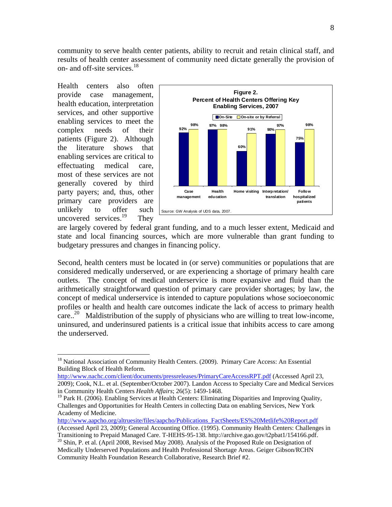community to serve health center patients, ability to recruit and retain clinical staff, and results of health center assessment of community need dictate generally the provision of on- and off-site services.<sup>18</sup>

Health centers also often provide case management, health education, interpretation services, and other supportive enabling services to meet the complex needs of their patients (Figure 2). Although the literature shows that enabling services are critical to effectuating medical care, most of these services are not generally covered by third party payers; and, thus, other primary care providers are unlikely to offer such uncovered services. $19$  They

1



are largely covered by federal grant funding, and to a much lesser extent, Medicaid and state and local financing sources, which are more vulnerable than grant funding to budgetary pressures and changes in financing policy.

Second, health centers must be located in (or serve) communities or populations that are considered medically underserved, or are experiencing a shortage of primary health care outlets. The concept of medical underservice is more expansive and fluid than the arithmetically straightforward question of primary care provider shortages; by law, the concept of medical underservice is intended to capture populations whose socioeconomic profiles or health and health care outcomes indicate the lack of access to primary health care..<sup>20</sup> Maldistribution of the supply of physicians who are willing to treat low-income, uninsured, and underinsured patients is a critical issue that inhibits access to care among the underserved.

http://www.aapcho.org/altruesite/files/aapcho/Publications\_FactSheets/ES%20Metlife%20Report.pdf

<sup>&</sup>lt;sup>18</sup> National Association of Community Health Centers. (2009). Primary Care Access: An Essential Building Block of Health Reform.

http://www.nachc.com/client/documents/pressreleases/PrimaryCareAccessRPT.pdf (Accessed April 23, 2009); Cook, N.L. et al. (September/October 2007). Landon Access to Specialty Care and Medical Services in Community Health Centers *Health Affairs*; 26(5): 1459-1468.

<sup>&</sup>lt;sup>19</sup> Park H. (2006). Enabling Services at Health Centers: Eliminating Disparities and Improving Quality, Challenges and Opportunities for Health Centers in collecting Data on enabling Services, New York Academy of Medicine.

<sup>(</sup>Accessed April 23, 2009); General Accounting Office. (1995). Community Health Centers: Challenges in

Transitioning to Prepaid Managed Care. T-HEHS-95-138. http://archive.gao.gov/t2pbat1/154166.pdf. 20 Shin, P. et al. (April 2008, Revised May 2008). Analysis of the Proposed Rule on Designation of Medically Underserved Populations and Health Professional Shortage Areas. Geiger Gibson/RCHN Community Health Foundation Research Collaborative, Research Brief #2.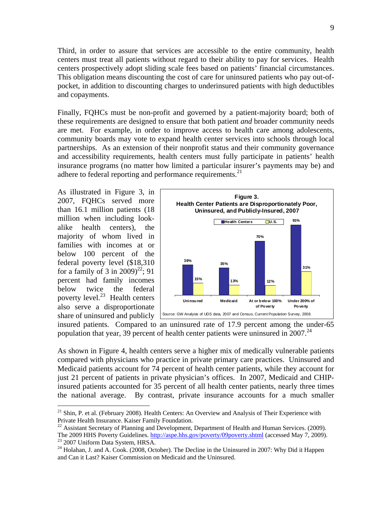Third, in order to assure that services are accessible to the entire community, health centers must treat all patients without regard to their ability to pay for services. Health centers prospectively adopt sliding scale fees based on patients' financial circumstances. This obligation means discounting the cost of care for uninsured patients who pay out-ofpocket, in addition to discounting charges to underinsured patients with high deductibles and copayments.

Finally, FQHCs must be non-profit and governed by a patient-majority board; both of these requirements are designed to ensure that both patient *and* broader community needs are met. For example, in order to improve access to health care among adolescents, community boards may vote to expand health center services into schools through local partnerships. As an extension of their nonprofit status and their community governance and accessibility requirements, health centers must fully participate in patients' health insurance programs (no matter how limited a particular insurer's payments may be) and adhere to federal reporting and performance requirements.<sup>21</sup>

As illustrated in Figure 3, in 2007, FQHCs served more than 16.1 million patients (18 million when including lookalike health centers), the majority of whom lived in families with incomes at or below 100 percent of the federal poverty level (\$18,310 for a family of 3 in  $2009)^{22}$ ; 91 percent had family incomes below twice the federal poverty level. $^{23}$  Health centers also serve a disproportionate share of uninsured and publicly

<u>.</u>



insured patients. Compared to an uninsured rate of 17.9 percent among the under-65 population that year, 39 percent of health center patients were uninsured in  $2007<sup>24</sup>$ 

As shown in Figure 4, health centers serve a higher mix of medically vulnerable patients compared with physicians who practice in private primary care practices. Uninsured and Medicaid patients account for 74 percent of health center patients, while they account for just 21 percent of patients in private physician's offices. In 2007, Medicaid and CHIPinsured patients accounted for 35 percent of all health center patients, nearly three times the national average. By contrast, private insurance accounts for a much smaller

<sup>&</sup>lt;sup>21</sup> Shin, P. et al. (February 2008). Health Centers: An Overview and Analysis of Their Experience with Private Health Insurance. Kaiser Family Foundation.

<sup>&</sup>lt;sup>22</sup> Assistant Secretary of Planning and Development, Department of Health and Human Services. (2009). The 2009 HHS Poverty Guidelines. http://aspe.hhs.gov/poverty/09poverty.shtml (accessed May 7, 2009). 23 2007 Uniform Data System, HRSA.

 $^{24}$  Holahan, J. and A. Cook. (2008, October). The Decline in the Uninsured in 2007: Why Did it Happen and Can it Last? Kaiser Commission on Medicaid and the Uninsured.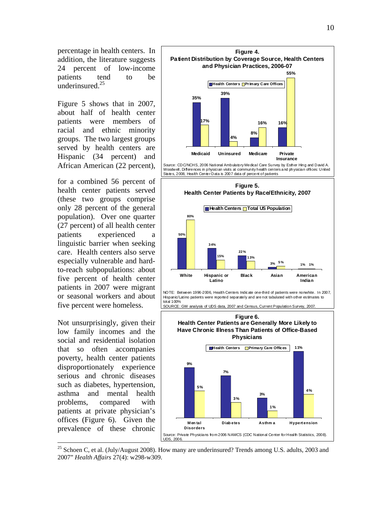percentage in health centers. In addition, the literature suggests 24 percent of low-income patients tend to be underinsured.25

Figure 5 shows that in 2007, about half of health center patients were members of racial and ethnic minority groups. The two largest groups served by health centers are Hispanic (34 percent) and African American (22 percent),

for a combined 56 percent of health center patients served (these two groups comprise only 28 percent of the general population). Over one quarter (27 percent) of all health center patients experienced a linguistic barrier when seeking care. Health centers also serve especially vulnerable and hardto-reach subpopulations: about five percent of health center patients in 2007 were migrant or seasonal workers and about five percent were homeless.

Not unsurprisingly, given their low family incomes and the social and residential isolation that so often accompanies poverty, health center patients disproportionately experience serious and chronic diseases such as diabetes, hypertension, asthma and mental health problems, compared with patients at private physician's offices (Figure 6). Given the prevalence of these chronic

 $\overline{a}$ 





NOTE: Between 1996-2006, Health Centers Indicate one-third of patients were nonwhite. In 2007, Hispanic/Latino patients were reported separately and are not tabulated with other estimates to total 100%

SOURCE: GW analysis of UDS data, 2007 and Census, Current Population Survey, 2007.

#### **Figure 6.**





<sup>25</sup> Schoen C, et al. (July/August 2008). How many are underinsured? Trends among U.S. adults, 2003 and 2007" *Health Affairs* 27(4): w298-w309.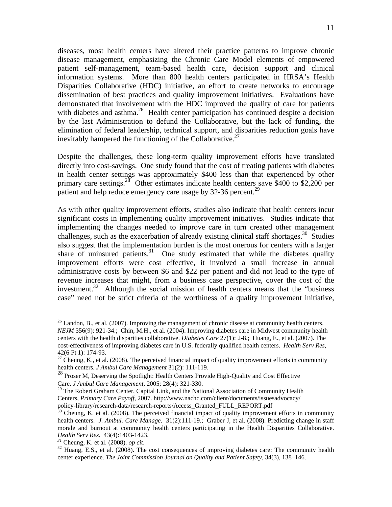11

diseases, most health centers have altered their practice patterns to improve chronic disease management, emphasizing the Chronic Care Model elements of empowered patient self-management, team-based health care, decision support and clinical information systems. More than 800 health centers participated in HRSA's Health Disparities Collaborative (HDC) initiative, an effort to create networks to encourage dissemination of best practices and quality improvement initiatives. Evaluations have demonstrated that involvement with the HDC improved the quality of care for patients with diabetes and asthma.<sup>26</sup> Health center participation has continued despite a decision by the last Administration to defund the Collaborative, but the lack of funding, the elimination of federal leadership, technical support, and disparities reduction goals have inevitably hampered the functioning of the Collaborative.<sup>27</sup>

Despite the challenges, these long-term quality improvement efforts have translated directly into cost-savings. One study found that the cost of treating patients with diabetes in health center settings was approximately \$400 less than that experienced by other primary care settings.<sup>28</sup> Other estimates indicate health centers save \$400 to \$2,200 per patient and help reduce emergency care usage by 32-36 percent.<sup>29</sup>

As with other quality improvement efforts, studies also indicate that health centers incur significant costs in implementing quality improvement initiatives. Studies indicate that implementing the changes needed to improve care in turn created other management challenges, such as the exacerbation of already existing clinical staff shortages.<sup>30</sup> Studies also suggest that the implementation burden is the most onerous for centers with a larger share of uninsured patients. $31$  One study estimated that while the diabetes quality improvement efforts were cost effective, it involved a small increase in annual administrative costs by between \$6 and \$22 per patient and did not lead to the type of revenue increases that might, from a business case perspective, cover the cost of the investment.<sup>32</sup> Although the social mission of health centers means that the "business" case" need not be strict criteria of the worthiness of a quality improvement initiative,

<sup>&</sup>lt;sup>26</sup> Landon, B., et al. (2007). Improving the management of chronic disease at community health centers. *NEJM* 356(9): 921-34.; Chin, M.H., et al. (2004). Improving diabetes care in Midwest community health centers with the health disparities collaborative. *Diabetes Care* 27(1): 2-8.; Huang, E., et al. (2007). The cost-effectiveness of improving diabetes care in U.S. federally qualified health centers. *Health Serv Res,* 42(6 Pt 1): 174-93.

 $27$  Cheung, K., et al. (2008). The perceived financial impact of quality improvement efforts in community health centers. *J Ambul Care Management* 31(2): 111-119.

<sup>&</sup>lt;sup>28</sup> Proser M, Deserving the Spotlight: Health Centers Provide High-Quality and Cost Effective Care. *J Ambul Care Management*, 2005; 28(4): 321-330.

 $29$  The Robert Graham Center, Capital Link, and the National Association of Community Health Centers, *Primary Care Payoff*, 2007. http://www.nachc.com/client/documents/issuesadvocacy/ policy-library/research-data/research-reports/Access\_Granted\_FULL\_REPORT.pdf<br><sup>30</sup> Cheung, K. et al. (2008). The perceived financial impact of quality improvement efforts in community

health centers. *J. Ambul. Care Manage*. 31(2):111-19.; Graber J, et al. (2008). Predicting change in staff morale and burnout at community health centers participating in the Health Disparities Collaborative. *Health Serv Res.* 43(4):1403-1423.<br><sup>31</sup> Cheung, K. et al. (2008). *op cit*.<br><sup>32</sup> Huang, E.S., et al. (2008). The cost consequences of improving diabetes care: The community health

center experience. *The Joint Commission Journal on Quality and Patient Safety*, 34(3), 138–146.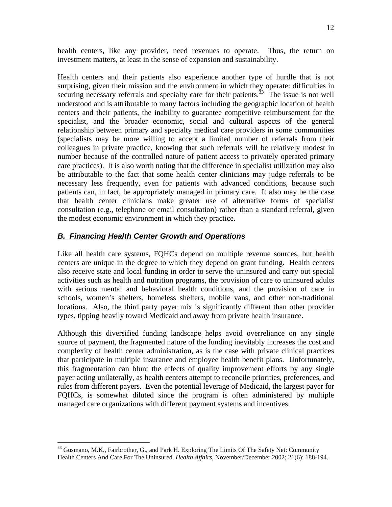health centers, like any provider, need revenues to operate. Thus, the return on investment matters, at least in the sense of expansion and sustainability.

Health centers and their patients also experience another type of hurdle that is not surprising, given their mission and the environment in which they operate: difficulties in securing necessary referrals and specialty care for their patients.<sup>33</sup> The issue is not well understood and is attributable to many factors including the geographic location of health centers and their patients, the inability to guarantee competitive reimbursement for the specialist, and the broader economic, social and cultural aspects of the general relationship between primary and specialty medical care providers in some communities (specialists may be more willing to accept a limited number of referrals from their colleagues in private practice, knowing that such referrals will be relatively modest in number because of the controlled nature of patient access to privately operated primary care practices). It is also worth noting that the difference in specialist utilization may also be attributable to the fact that some health center clinicians may judge referrals to be necessary less frequently, even for patients with advanced conditions, because such patients can, in fact, be appropriately managed in primary care. It also may be the case that health center clinicians make greater use of alternative forms of specialist consultation (e.g., telephone or email consultation) rather than a standard referral, given the modest economic environment in which they practice.

# *B. Financing Health Center Growth and Operations*

 $\overline{a}$ 

Like all health care systems, FQHCs depend on multiple revenue sources, but health centers are unique in the degree to which they depend on grant funding. Health centers also receive state and local funding in order to serve the uninsured and carry out special activities such as health and nutrition programs, the provision of care to uninsured adults with serious mental and behavioral health conditions, and the provision of care in schools, women's shelters, homeless shelters, mobile vans, and other non-traditional locations. Also, the third party payer mix is significantly different than other provider types, tipping heavily toward Medicaid and away from private health insurance.

Although this diversified funding landscape helps avoid overreliance on any single source of payment, the fragmented nature of the funding inevitably increases the cost and complexity of health center administration, as is the case with private clinical practices that participate in multiple insurance and employee health benefit plans. Unfortunately, this fragmentation can blunt the effects of quality improvement efforts by any single payer acting unilaterally, as health centers attempt to reconcile priorities, preferences, and rules from different payers. Even the potential leverage of Medicaid, the largest payer for FQHCs, is somewhat diluted since the program is often administered by multiple managed care organizations with different payment systems and incentives.

<sup>&</sup>lt;sup>33</sup> Gusmano, M.K., Fairbrother, G., and Park H. Exploring The Limits Of The Safety Net: Community Health Centers And Care For The Uninsured. *Health Affairs*, November/December 2002; 21(6): 188-194.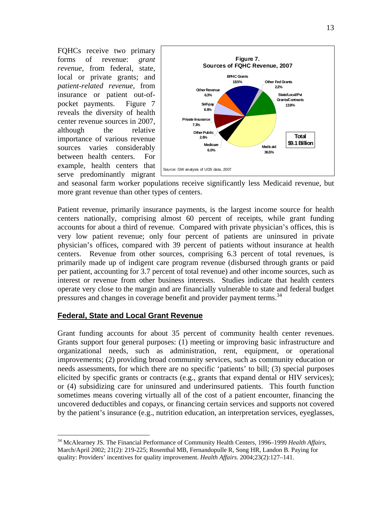FQHCs receive two primary forms of revenue: *grant revenue*, from federal, state, local or private grants; and *patient-related revenue*, from insurance or patient out-ofpocket payments. Figure 7 reveals the diversity of health center revenue sources in 2007, although the relative importance of various revenue sources varies considerably between health centers. For example, health centers that serve predominantly migrant



and seasonal farm worker populations receive significantly less Medicaid revenue, but more grant revenue than other types of centers.

Patient revenue, primarily insurance payments, is the largest income source for health centers nationally, comprising almost 60 percent of receipts, while grant funding accounts for about a third of revenue. Compared with private physician's offices, this is very low patient revenue; only four percent of patients are uninsured in private physician's offices, compared with 39 percent of patients without insurance at health centers. Revenue from other sources, comprising 6.3 percent of total revenues, is primarily made up of indigent care program revenue (disbursed through grants or paid per patient, accounting for 3.7 percent of total revenue) and other income sources, such as interest or revenue from other business interests. Studies indicate that health centers operate very close to the margin and are financially vulnerable to state and federal budget pressures and changes in coverage benefit and provider payment terms.<sup>34</sup>

### **Federal, State and Local Grant Revenue**

 $\overline{a}$ 

Grant funding accounts for about 35 percent of community health center revenues. Grants support four general purposes: (1) meeting or improving basic infrastructure and organizational needs, such as administration, rent, equipment, or operational improvements; (2) providing broad community services, such as community education or needs assessments, for which there are no specific 'patients' to bill; (3) special purposes elicited by specific grants or contracts (e.g., grants that expand dental or HIV services); or (4) subsidizing care for uninsured and underinsured patients. This fourth function sometimes means covering virtually all of the cost of a patient encounter, financing the uncovered deductibles and copays, or financing certain services and supports not covered by the patient's insurance (e.g., nutrition education, an interpretation services, eyeglasses,

<sup>34</sup> McAlearney JS. The Financial Performance of Community Health Centers, 1996–1999 *Health Affairs*, March/April 2002; 21(2): 219-225; Rosenthal MB, Fernandopulle R, Song HR, Landon B. Paying for quality: Providers' incentives for quality improvement. *Health Affairs*. 2004;23(2):127–141.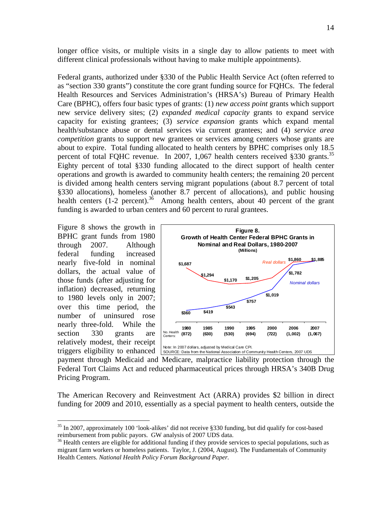longer office visits, or multiple visits in a single day to allow patients to meet with different clinical professionals without having to make multiple appointments).

Federal grants, authorized under §330 of the Public Health Service Act (often referred to as "section 330 grants") constitute the core grant funding source for FQHCs. The federal Health Resources and Services Administration's (HRSA's) Bureau of Primary Health Care (BPHC), offers four basic types of grants: (1) *new access point* grants which support new service delivery sites; (2) *expanded medical capacity* grants to expand service capacity for existing grantees; (3) *service expansion* grants which expand mental health/substance abuse or dental services via current grantees; and (4) *service area competition* grants to support new grantees or services among centers whose grants are about to expire. Total funding allocated to health centers by BPHC comprises only 18.5 percent of total FQHC revenue. In 2007, 1,067 health centers received §330 grants.<sup>35</sup> Eighty percent of total §330 funding allocated to the direct support of health center operations and growth is awarded to community health centers; the remaining 20 percent is divided among health centers serving migrant populations (about 8.7 percent of total §330 allocations), homeless (another 8.7 percent of allocations), and public housing health centers  $(1-2$  percent).<sup>36</sup> Among health centers, about 40 percent of the grant funding is awarded to urban centers and 60 percent to rural grantees.

Figure 8 shows the growth in BPHC grant funds from 1980 through 2007. Although federal funding increased nearly five-fold in nominal dollars, the actual value of those funds (after adjusting for inflation) decreased, returning to 1980 levels only in 2007; over this time period, the number of uninsured rose nearly three-fold. While the section 330 grants are relatively modest, their receipt triggers eligibility to enhanced

 $\overline{a}$ 



payment through Medicaid and Medicare, malpractice liability protection through the Federal Tort Claims Act and reduced pharmaceutical prices through HRSA's 340B Drug Pricing Program.

The American Recovery and Reinvestment Act (ARRA) provides \$2 billion in direct funding for 2009 and 2010, essentially as a special payment to health centers, outside the

 $35$  In 2007, approximately 100 'look-alikes' did not receive §330 funding, but did qualify for cost-based reimbursement from public payors. GW analysis of 2007 UDS data.

<sup>&</sup>lt;sup>36</sup> Health centers are eligible for additional funding if they provide services to special populations, such as migrant farm workers or homeless patients. Taylor, J. (2004, August). The Fundamentals of Community Health Centers. *National Health Policy Forum Background Paper.*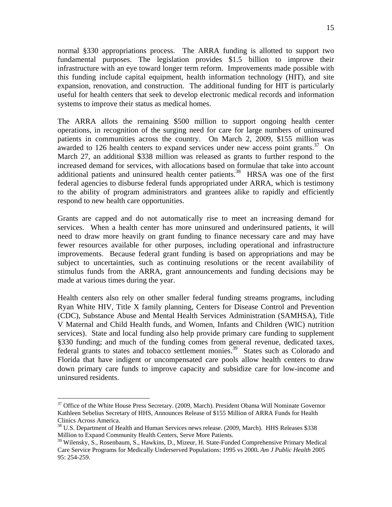normal §330 appropriations process. The ARRA funding is allotted to support two fundamental purposes. The legislation provides \$1.5 billion to improve their infrastructure with an eye toward longer term reform. Improvements made possible with this funding include capital equipment, health information technology (HIT), and site expansion, renovation, and construction. The additional funding for HIT is particularly useful for health centers that seek to develop electronic medical records and information systems to improve their status as medical homes.

The ARRA allots the remaining \$500 million to support ongoing health center operations, in recognition of the surging need for care for large numbers of uninsured patients in communities across the country. On March 2, 2009, \$155 million was awarded to 126 health centers to expand services under new access point grants.<sup>37</sup> On March 27, an additional \$338 million was released as grants to further respond to the increased demand for services, with allocations based on formulae that take into account additional patients and uninsured health center patients.<sup>38</sup> HRSA was one of the first federal agencies to disburse federal funds appropriated under ARRA, which is testimony to the ability of program administrators and grantees alike to rapidly and efficiently respond to new health care opportunities.

Grants are capped and do not automatically rise to meet an increasing demand for services. When a health center has more uninsured and underinsured patients, it will need to draw more heavily on grant funding to finance necessary care and may have fewer resources available for other purposes, including operational and infrastructure improvements. Because federal grant funding is based on appropriations and may be subject to uncertainties, such as continuing resolutions or the recent availability of stimulus funds from the ARRA, grant announcements and funding decisions may be made at various times during the year.

Health centers also rely on other smaller federal funding streams programs, including Ryan White HIV, Title X family planning, Centers for Disease Control and Prevention (CDC), Substance Abuse and Mental Health Services Administration (SAMHSA), Title V Maternal and Child Health funds, and Women, Infants and Children (WIC) nutrition services). State and local funding also help provide primary care funding to supplement §330 funding; and much of the funding comes from general revenue, dedicated taxes, federal grants to states and tobacco settlement monies.<sup>39</sup> States such as Colorado and Florida that have indigent or uncompensated care pools allow health centers to draw down primary care funds to improve capacity and subsidize care for low-income and uninsured residents.

1

<sup>&</sup>lt;sup>37</sup> Office of the White House Press Secretary. (2009, March). President Obama Will Nominate Governor Kathleen Sebelius Secretary of HHS, Announces Release of \$155 Million of ARRA Funds for Health Clinics Across America.

<sup>&</sup>lt;sup>38</sup> U.S. Department of Health and Human Services news release. (2009, March). HHS Releases \$338 Million to Expand Community Health Centers, Serve More Patients.

<sup>&</sup>lt;sup>39</sup> Wilensky, S., Rosenbaum, S., Hawkins, D., Mizeur, H. State-Funded Comprehensive Primary Medical Care Service Programs for Medically Underserved Populations: 1995 vs 2000**.** *Am J Public Health* 2005 95: 254-259.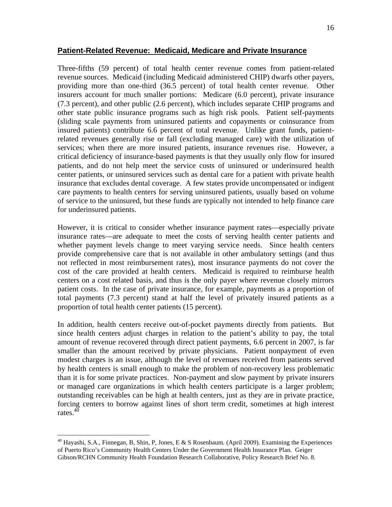Three-fifths (59 percent) of total health center revenue comes from patient-related revenue sources. Medicaid (including Medicaid administered CHIP) dwarfs other payers, providing more than one-third (36.5 percent) of total health center revenue. Other insurers account for much smaller portions: Medicare (6.0 percent), private insurance (7.3 percent), and other public (2.6 percent), which includes separate CHIP programs and other state public insurance programs such as high risk pools. Patient self-payments (sliding scale payments from uninsured patients and copayments or coinsurance from insured patients) contribute 6.6 percent of total revenue. Unlike grant funds, patientrelated revenues generally rise or fall (excluding managed care) with the utilization of services; when there are more insured patients, insurance revenues rise. However, a critical deficiency of insurance-based payments is that they usually only flow for insured patients, and do not help meet the service costs of uninsured or underinsured health center patients, or uninsured services such as dental care for a patient with private health insurance that excludes dental coverage. A few states provide uncompensated or indigent care payments to health centers for serving uninsured patients, usually based on volume of service to the uninsured, but these funds are typically not intended to help finance care for underinsured patients.

However, it is critical to consider whether insurance payment rates—especially private insurance rates—are adequate to meet the costs of serving health center patients and whether payment levels change to meet varying service needs. Since health centers provide comprehensive care that is not available in other ambulatory settings (and thus not reflected in most reimbursement rates), most insurance payments do not cover the cost of the care provided at health centers. Medicaid is required to reimburse health centers on a cost related basis, and thus is the only payer where revenue closely mirrors patient costs. In the case of private insurance, for example, payments as a proportion of total payments (7.3 percent) stand at half the level of privately insured patients as a proportion of total health center patients (15 percent).

In addition, health centers receive out-of-pocket payments directly from patients. But since health centers adjust charges in relation to the patient's ability to pay, the total amount of revenue recovered through direct patient payments, 6.6 percent in 2007, is far smaller than the amount received by private physicians. Patient nonpayment of even modest charges is an issue, although the level of revenues received from patients served by health centers is small enough to make the problem of non-recovery less problematic than it is for some private practices. Non-payment and slow payment by private insurers or managed care organizations in which health centers participate is a larger problem; outstanding receivables can be high at health centers, just as they are in private practice, forcing centers to borrow against lines of short term credit, sometimes at high interest rates. $4\overline{0}$ 

1

<sup>&</sup>lt;sup>40</sup> Hayashi, S.A., Finnegan, B, Shin, P, Jones, E & S Rosenbaum. (April 2009). Examining the Experiences of Puerto Rico's Community Health Centers Under the Government Health Insurance Plan. Geiger Gibson/RCHN Community Health Foundation Research Collaborative, Policy Research Brief No. 8.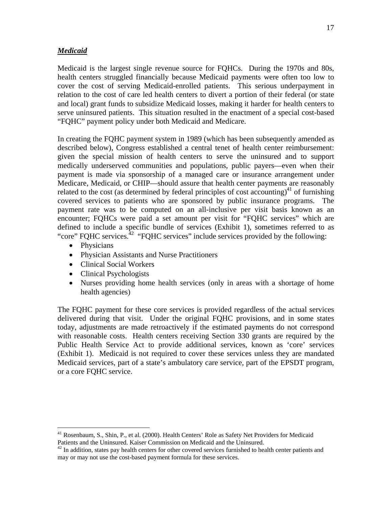#### *Medicaid*

Medicaid is the largest single revenue source for FQHCs. During the 1970s and 80s, health centers struggled financially because Medicaid payments were often too low to cover the cost of serving Medicaid-enrolled patients. This serious underpayment in relation to the cost of care led health centers to divert a portion of their federal (or state and local) grant funds to subsidize Medicaid losses, making it harder for health centers to serve uninsured patients. This situation resulted in the enactment of a special cost-based "FQHC" payment policy under both Medicaid and Medicare.

In creating the FQHC payment system in 1989 (which has been subsequently amended as described below), Congress established a central tenet of health center reimbursement: given the special mission of health centers to serve the uninsured and to support medically underserved communities and populations, public payers—even when their payment is made via sponsorship of a managed care or insurance arrangement under Medicare, Medicaid, or CHIP—should assure that health center payments are reasonably related to the cost (as determined by federal principles of cost accounting)<sup>41</sup> of furnishing covered services to patients who are sponsored by public insurance programs. The payment rate was to be computed on an all-inclusive per visit basis known as an encounter; FQHCs were paid a set amount per visit for "FQHC services" which are defined to include a specific bundle of services (Exhibit 1), sometimes referred to as "core" FQHC services.<sup>42</sup> "FQHC services" include services provided by the following:

• Physicians

 $\overline{a}$ 

- Physician Assistants and Nurse Practitioners
- Clinical Social Workers
- Clinical Psychologists
- Nurses providing home health services (only in areas with a shortage of home health agencies)

The FQHC payment for these core services is provided regardless of the actual services delivered during that visit. Under the original FQHC provisions, and in some states today, adjustments are made retroactively if the estimated payments do not correspond with reasonable costs. Health centers receiving Section 330 grants are required by the Public Health Service Act to provide additional services, known as 'core' services (Exhibit 1). Medicaid is not required to cover these services unless they are mandated Medicaid services, part of a state's ambulatory care service, part of the EPSDT program, or a core FQHC service.

<sup>&</sup>lt;sup>41</sup> Rosenbaum, S., Shin, P., et al. (2000). Health Centers' Role as Safety Net Providers for Medicaid Patients and the Uninsured. Kaiser Commission on Medicaid and the Uninsured.

<sup>&</sup>lt;sup>42</sup> In addition, states pay health centers for other covered services furnished to health center patients and may or may not use the cost-based payment formula for these services.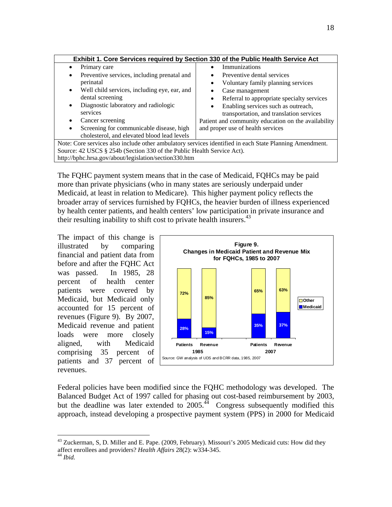| Exhibit 1. Core Services required by Section 330 of the Public Health Service Act                       |                                                     |  |
|---------------------------------------------------------------------------------------------------------|-----------------------------------------------------|--|
| Primary care                                                                                            | <b>Immunizations</b>                                |  |
| Preventive services, including prenatal and<br>٠                                                        | Preventive dental services                          |  |
| perinatal                                                                                               | Voluntary family planning services                  |  |
| Well child services, including eye, ear, and<br>$\bullet$                                               | Case management                                     |  |
| dental screening                                                                                        | Referral to appropriate specialty services          |  |
| Diagnostic laboratory and radiologic<br>٠                                                               | Enabling services such as outreach,                 |  |
| services                                                                                                | transportation, and translation services            |  |
| Cancer screening                                                                                        | Patient and community education on the availability |  |
| Screening for communicable disease, high<br>$\bullet$                                                   | and proper use of health services                   |  |
| cholesterol, and elevated blood lead levels                                                             |                                                     |  |
| Note: Core services also include other ambulatory services identified in each State Planning Amendment. |                                                     |  |
| Source: 42 USCS § 254b (Section 330 of the Public Health Service Act).                                  |                                                     |  |
| http://bphc.hrsa.gov/about/legislation/section330.htm                                                   |                                                     |  |

The FQHC payment system means that in the case of Medicaid, FQHCs may be paid more than private physicians (who in many states are seriously underpaid under Medicaid, at least in relation to Medicare). This higher payment policy reflects the broader array of services furnished by FQHCs, the heavier burden of illness experienced by health center patients, and health centers' low participation in private insurance and their resulting inability to shift cost to private health insurers.<sup>43</sup>

The impact of this change is illustrated by comparing financial and patient data from before and after the FQHC Act was passed. In 1985, 28 percent of health center patients were covered by Medicaid, but Medicaid only accounted for 15 percent of revenues (Figure 9). By 2007, Medicaid revenue and patient loads were more closely aligned, with Medicaid comprising 35 percent of patients and 37 percent of revenues.



Federal policies have been modified since the FQHC methodology was developed. The Balanced Budget Act of 1997 called for phasing out cost-based reimbursement by 2003, but the deadline was later extended to  $2005<sup>44</sup>$  Congress subsequently modified this approach, instead developing a prospective payment system (PPS) in 2000 for Medicaid

<sup>&</sup>lt;sup>43</sup> Zuckerman, S, D. Miller and E. Pape. (2009, February). Missouri's 2005 Medicaid cuts: How did they affect enrollees and providers? *Health Affairs* 28(2): w334-345. 44 *Ibid.*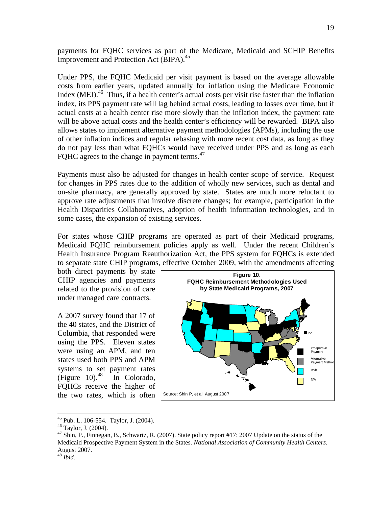payments for FQHC services as part of the Medicare, Medicaid and SCHIP Benefits Improvement and Protection Act (BIPA).<sup>45</sup>

Under PPS, the FQHC Medicaid per visit payment is based on the average allowable costs from earlier years, updated annually for inflation using the Medicare Economic Index (MEI).<sup>46</sup> Thus, if a health center's actual costs per visit rise faster than the inflation index, its PPS payment rate will lag behind actual costs, leading to losses over time, but if actual costs at a health center rise more slowly than the inflation index, the payment rate will be above actual costs and the health center's efficiency will be rewarded. BIPA also allows states to implement alternative payment methodologies (APMs), including the use of other inflation indices and regular rebasing with more recent cost data, as long as they do not pay less than what FQHCs would have received under PPS and as long as each FQHC agrees to the change in payment terms.<sup>47</sup>

Payments must also be adjusted for changes in health center scope of service. Request for changes in PPS rates due to the addition of wholly new services, such as dental and on-site pharmacy, are generally approved by state. States are much more reluctant to approve rate adjustments that involve discrete changes; for example, participation in the Health Disparities Collaboratives, adoption of health information technologies, and in some cases, the expansion of existing services.

For states whose CHIP programs are operated as part of their Medicaid programs, Medicaid FQHC reimbursement policies apply as well. Under the recent Children's Health Insurance Program Reauthorization Act, the PPS system for FQHCs is extended to separate state CHIP programs, effective October 2009, with the amendments affecting

both direct payments by state CHIP agencies and payments related to the provision of care under managed care contracts.

A 2007 survey found that 17 of the 40 states, and the District of Columbia, that responded were using the PPS. Eleven states were using an APM, and ten states used both PPS and APM systems to set payment rates (Figure 10).<sup>48</sup> In Colorado, FQHCs receive the higher of the two rates, which is often



<sup>45</sup> Pub. L. 106-554. Taylor, J. (2004).

1

<sup>46</sup> Taylor, J. (2004).

<sup>&</sup>lt;sup>47</sup> Shin, P., Finnegan, B., Schwartz, R. (2007). State policy report #17: 2007 Update on the status of the Medicaid Prospective Payment System in the States. *National Association of Community Health Centers*. August 2007.

<sup>48</sup> *Ibid.*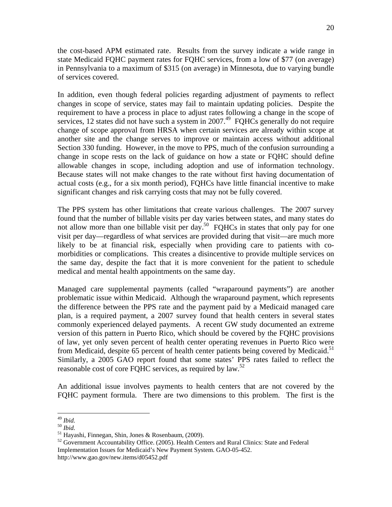the cost-based APM estimated rate. Results from the survey indicate a wide range in state Medicaid FQHC payment rates for FQHC services, from a low of \$77 (on average) in Pennsylvania to a maximum of \$315 (on average) in Minnesota, due to varying bundle of services covered.

In addition, even though federal policies regarding adjustment of payments to reflect changes in scope of service, states may fail to maintain updating policies. Despite the requirement to have a process in place to adjust rates following a change in the scope of services, 12 states did not have such a system in  $2007<sup>49</sup>$  FQHCs generally do not require change of scope approval from HRSA when certain services are already within scope at another site and the change serves to improve or maintain access without additional Section 330 funding. However, in the move to PPS, much of the confusion surrounding a change in scope rests on the lack of guidance on how a state or FQHC should define allowable changes in scope, including adoption and use of information technology. Because states will not make changes to the rate without first having documentation of actual costs (e.g., for a six month period), FQHCs have little financial incentive to make significant changes and risk carrying costs that may not be fully covered.

The PPS system has other limitations that create various challenges. The 2007 survey found that the number of billable visits per day varies between states, and many states do not allow more than one billable visit per day.<sup>50</sup> FQHCs in states that only pay for one visit per day—regardless of what services are provided during that visit—are much more likely to be at financial risk, especially when providing care to patients with comorbidities or complications. This creates a disincentive to provide multiple services on the same day, despite the fact that it is more convenient for the patient to schedule medical and mental health appointments on the same day.

Managed care supplemental payments (called "wraparound payments") are another problematic issue within Medicaid. Although the wraparound payment, which represents the difference between the PPS rate and the payment paid by a Medicaid managed care plan, is a required payment, a 2007 survey found that health centers in several states commonly experienced delayed payments. A recent GW study documented an extreme version of this pattern in Puerto Rico, which should be covered by the FQHC provisions of law, yet only seven percent of health center operating revenues in Puerto Rico were from Medicaid, despite 65 percent of health center patients being covered by Medicaid.<sup>51</sup> Similarly, a 2005 GAO report found that some states' PPS rates failed to reflect the reasonable cost of core FQHC services, as required by  $\text{law}^{\text{52}}$ 

An additional issue involves payments to health centers that are not covered by the FQHC payment formula. There are two dimensions to this problem. The first is the

 $^{49}$  Ibid.

<sup>&</sup>lt;sup>50</sup> *Ibid.*<br><sup>51</sup> Hayashi, Finnegan, Shin, Jones & Rosenbaum, (2009).

<sup>&</sup>lt;sup>52</sup> Government Accountability Office. (2005). Health Centers and Rural Clinics: State and Federal Implementation Issues for Medicaid's New Payment System. GAO-05-452. http://www.gao.gov/new.items/d05452.pdf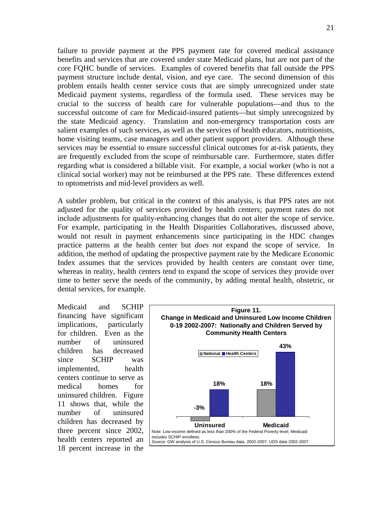failure to provide payment at the PPS payment rate for covered medical assistance benefits and services that are covered under state Medicaid plans, but are not part of the core FQHC bundle of services. Examples of covered benefits that fall outside the PPS payment structure include dental, vision, and eye care. The second dimension of this problem entails health center service costs that are simply unrecognized under state Medicaid payment systems, regardless of the formula used. These services may be crucial to the success of health care for vulnerable populations—and thus to the successful outcome of care for Medicaid-insured patients—but simply unrecognized by the state Medicaid agency. Translation and non-emergency transportation costs are salient examples of such services, as well as the services of health educators, nutritionists, home visiting teams, case managers and other patient support providers. Although these services may be essential to ensure successful clinical outcomes for at-risk patients, they are frequently excluded from the scope of reimbursable care. Furthermore, states differ regarding what is considered a billable visit. For example, a social worker (who is not a clinical social worker) may not be reimbursed at the PPS rate. These differences extend to optometrists and mid-level providers as well.

A subtler problem, but critical in the context of this analysis, is that PPS rates are not adjusted for the quality of services provided by health centers; payment rates do not include adjustments for quality-enhancing changes that do not alter the scope of service. For example, participating in the Health Disparities Collaboratives, discussed above, would not result in payment enhancements since participating in the HDC changes practice patterns at the health center but *does not* expand the scope of service. In addition, the method of updating the prospective payment rate by the Medicare Economic Index assumes that the services provided by health centers are constant over time, whereas in reality, health centers tend to expand the scope of services they provide over time to better serve the needs of the community, by adding mental health, obstetric, or dental services, for example.

Medicaid and SCHIP financing have significant implications, particularly for children. Even as the number of uninsured children has decreased since SCHIP was implemented, health centers continue to serve as medical homes for uninsured children. Figure 11 shows that, while the number of uninsured children has decreased by three percent since 2002, health centers reported an 18 percent increase in the

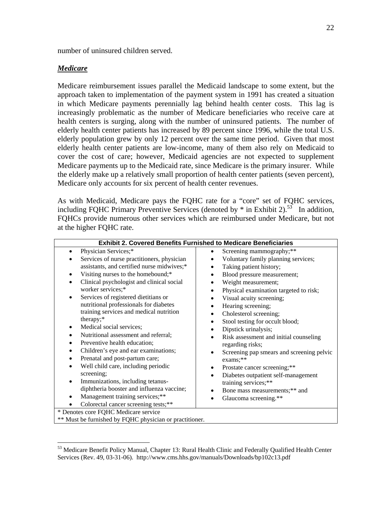number of uninsured children served.

#### *Medicare*

 $\overline{a}$ 

Medicare reimbursement issues parallel the Medicaid landscape to some extent, but the approach taken to implementation of the payment system in 1991 has created a situation in which Medicare payments perennially lag behind health center costs. This lag is increasingly problematic as the number of Medicare beneficiaries who receive care at health centers is surging, along with the number of uninsured patients. The number of elderly health center patients has increased by 89 percent since 1996, while the total U.S. elderly population grew by only 12 percent over the same time period. Given that most elderly health center patients are low-income, many of them also rely on Medicaid to cover the cost of care; however, Medicaid agencies are not expected to supplement Medicare payments up to the Medicaid rate, since Medicare is the primary insurer. While the elderly make up a relatively small proportion of health center patients (seven percent), Medicare only accounts for six percent of health center revenues.

As with Medicaid, Medicare pays the FQHC rate for a "core" set of FQHC services, including FQHC Primary Preventive Services (denoted by  $*$  in Exhibit 2).<sup>53</sup> In addition, FQHCs provide numerous other services which are reimbursed under Medicare, but not at the higher FQHC rate.

| <b>Exhibit 2. Covered Benefits Furnished to Medicare Beneficiaries</b>                                                                                                                                                                                                                                                                                                                                                                                                                                                                                                                                                                                                                                                                                                                                                                                                                                                                 |                                                                                                                                                                                                                                                                                                                                                                                                                                                                                                                                                                                                                                                                                                                            |  |
|----------------------------------------------------------------------------------------------------------------------------------------------------------------------------------------------------------------------------------------------------------------------------------------------------------------------------------------------------------------------------------------------------------------------------------------------------------------------------------------------------------------------------------------------------------------------------------------------------------------------------------------------------------------------------------------------------------------------------------------------------------------------------------------------------------------------------------------------------------------------------------------------------------------------------------------|----------------------------------------------------------------------------------------------------------------------------------------------------------------------------------------------------------------------------------------------------------------------------------------------------------------------------------------------------------------------------------------------------------------------------------------------------------------------------------------------------------------------------------------------------------------------------------------------------------------------------------------------------------------------------------------------------------------------------|--|
| Physician Services;*<br>$\bullet$<br>Services of nurse practitioners, physician<br>$\bullet$<br>assistants, and certified nurse midwives;*<br>Visiting nurses to the homebound;*<br>$\bullet$<br>Clinical psychologist and clinical social<br>$\bullet$<br>worker services;*<br>Services of registered dietitians or<br>٠<br>nutritional professionals for diabetes<br>training services and medical nutrition<br>therapy;*<br>Medical social services;<br>٠<br>Nutritional assessment and referral;<br>٠<br>Preventive health education;<br>$\bullet$<br>Children's eye and ear examinations;<br>$\bullet$<br>Prenatal and post-partum care;<br>٠<br>Well child care, including periodic<br>screening;<br>Immunizations, including tetanus-<br>$\bullet$<br>diphtheria booster and influenza vaccine;<br>Management training services;**<br>$\bullet$<br>Colorectal cancer screening tests;**<br>* Denotes core FQHC Medicare service | Screening mammography;**<br>$\bullet$<br>Voluntary family planning services;<br>Taking patient history;<br>٠<br>Blood pressure measurement;<br>٠<br>Weight measurement;<br>$\bullet$<br>Physical examination targeted to risk;<br>$\bullet$<br>Visual acuity screening;<br>$\bullet$<br>Hearing screening;<br>٠<br>Cholesterol screening;<br>٠<br>Stool testing for occult blood;<br>٠<br>Dipstick urinalysis;<br>Risk assessment and initial counseling<br>٠<br>regarding risks;<br>Screening pap smears and screening pelvic<br>$\bullet$<br>exams;**<br>Prostate cancer screening;**<br>٠<br>Diabetes outpatient self-management<br>٠<br>training services;**<br>Bone mass measurements;** and<br>Glaucoma screening.** |  |
| ** Must be furnished by FQHC physician or practitioner.                                                                                                                                                                                                                                                                                                                                                                                                                                                                                                                                                                                                                                                                                                                                                                                                                                                                                |                                                                                                                                                                                                                                                                                                                                                                                                                                                                                                                                                                                                                                                                                                                            |  |

<sup>&</sup>lt;sup>53</sup> Medicare Benefit Policy Manual, Chapter 13: Rural Health Clinic and Federally Qualified Health Center Services (Rev. 49, 03-31-06). http://www.cms.hhs.gov/manuals/Downloads/bp102c13.pdf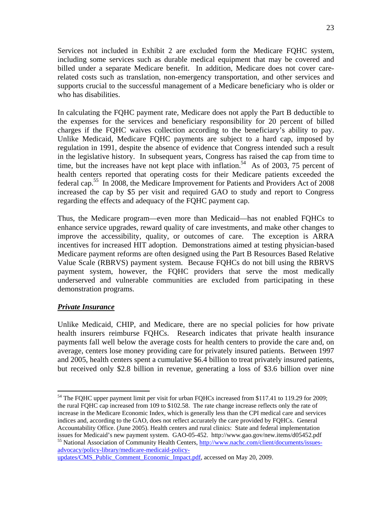Services not included in Exhibit 2 are excluded form the Medicare FQHC system, including some services such as durable medical equipment that may be covered and billed under a separate Medicare benefit. In addition, Medicare does not cover carerelated costs such as translation, non-emergency transportation, and other services and supports crucial to the successful management of a Medicare beneficiary who is older or who has disabilities.

In calculating the FQHC payment rate, Medicare does not apply the Part B deductible to the expenses for the services and beneficiary responsibility for 20 percent of billed charges if the FQHC waives collection according to the beneficiary's ability to pay. Unlike Medicaid, Medicare FQHC payments are subject to a hard cap, imposed by regulation in 1991, despite the absence of evidence that Congress intended such a result in the legislative history. In subsequent years, Congress has raised the cap from time to time, but the increases have not kept place with inflation.<sup>54</sup> As of 2003, 75 percent of health centers reported that operating costs for their Medicare patients exceeded the federal cap.<sup>55</sup> In 2008, the Medicare Improvement for Patients and Providers Act of 2008 increased the cap by \$5 per visit and required GAO to study and report to Congress regarding the effects and adequacy of the FQHC payment cap.

Thus, the Medicare program—even more than Medicaid—has not enabled FQHCs to enhance service upgrades, reward quality of care investments, and make other changes to improve the accessibility, quality, or outcomes of care. The exception is ARRA incentives for increased HIT adoption. Demonstrations aimed at testing physician-based Medicare payment reforms are often designed using the Part B Resources Based Relative Value Scale (RBRVS) payment system. Because FQHCs do not bill using the RBRVS payment system, however, the FQHC providers that serve the most medically underserved and vulnerable communities are excluded from participating in these demonstration programs.

### *Private Insurance*

1

Unlike Medicaid, CHIP, and Medicare, there are no special policies for how private health insurers reimburse FQHCs. Research indicates that private health insurance payments fall well below the average costs for health centers to provide the care and, on average, centers lose money providing care for privately insured patients. Between 1997 and 2005, health centers spent a cumulative \$6.4 billion to treat privately insured patients, but received only \$2.8 billion in revenue, generating a loss of \$3.6 billion over nine

advocacy/policy-library/medicare-medicaid-policyupdates/CMS\_Public\_Comment\_Economic\_Impact.pdf, accessed on May 20, 2009.

<sup>&</sup>lt;sup>54</sup> The FQHC upper payment limit per visit for urban FQHCs increased from \$117.41 to 119.29 for 2009; the rural FQHC cap increased from 109 to \$102.58. The rate change increase reflects only the rate of increase in the Medicare Economic Index, which is generally less than the CPI medical care and services indices and, according to the GAO, does not reflect accurately the care provided by FQHCs. General Accountability Office. (June 2005). Health centers and rural clinics: State and federal implementation issues for Medicaid's new payment system. GAO-05-452. http://www.gao.gov/new.items/d05452.pdf <sup>55</sup> National Association of Community Health Centers, http://www.nachc.com/client/documents/issues-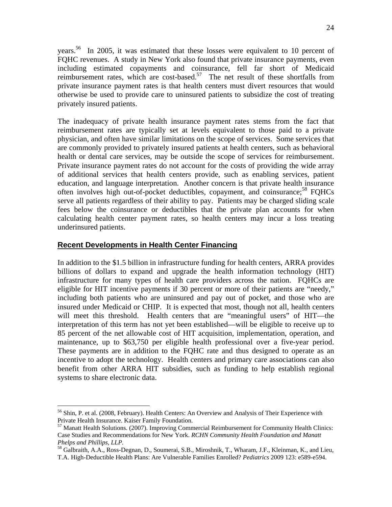years.56 In 2005, it was estimated that these losses were equivalent to 10 percent of FQHC revenues. A study in New York also found that private insurance payments, even including estimated copayments and coinsurance, fell far short of Medicaid reimbursement rates, which are cost-based.<sup>57</sup> The net result of these shortfalls from private insurance payment rates is that health centers must divert resources that would otherwise be used to provide care to uninsured patients to subsidize the cost of treating privately insured patients.

The inadequacy of private health insurance payment rates stems from the fact that reimbursement rates are typically set at levels equivalent to those paid to a private physician, and often have similar limitations on the scope of services. Some services that are commonly provided to privately insured patients at health centers, such as behavioral health or dental care services, may be outside the scope of services for reimbursement. Private insurance payment rates do not account for the costs of providing the wide array of additional services that health centers provide, such as enabling services, patient education, and language interpretation. Another concern is that private health insurance often involves high out-of-pocket deductibles, copayment, and coinsurance;<sup>58</sup> FQHCs serve all patients regardless of their ability to pay. Patients may be charged sliding scale fees below the coinsurance or deductibles that the private plan accounts for when calculating health center payment rates, so health centers may incur a loss treating underinsured patients.

### **Recent Developments in Health Center Financing**

 $\overline{a}$ 

In addition to the \$1.5 billion in infrastructure funding for health centers, ARRA provides billions of dollars to expand and upgrade the health information technology (HIT) infrastructure for many types of health care providers across the nation. FQHCs are eligible for HIT incentive payments if 30 percent or more of their patients are "needy," including both patients who are uninsured and pay out of pocket, and those who are insured under Medicaid or CHIP. It is expected that most, though not all, health centers will meet this threshold. Health centers that are "meaningful users" of HIT—the interpretation of this term has not yet been established—will be eligible to receive up to 85 percent of the net allowable cost of HIT acquisition, implementation, operation, and maintenance, up to \$63,750 per eligible health professional over a five-year period. These payments are in addition to the FQHC rate and thus designed to operate as an incentive to adopt the technology. Health centers and primary care associations can also benefit from other ARRA HIT subsidies, such as funding to help establish regional systems to share electronic data.

<sup>&</sup>lt;sup>56</sup> Shin, P. et al. (2008, February). Health Centers: An Overview and Analysis of Their Experience with Private Health Insurance. Kaiser Family Foundation.

<sup>57</sup> Manatt Health Solutions. (2007). Improving Commercial Reimbursement for Community Health Clinics: Case Studies and Recommendations for New York. *RCHN Community Health Foundation and Manatt Phelps and Phillips, LLP.*<br><sup>58</sup> Galbraith, A.A., Ross-Degnan, D., Soumerai, S.B., Miroshnik, T., Wharam, J.F., Kleinman, K., and Lieu,

T.A. High-Deductible Health Plans: Are Vulnerable Families Enrolled? *Pediatrics* 2009 123: e589-e594.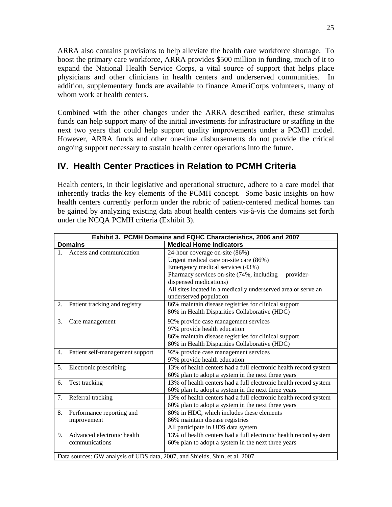ARRA also contains provisions to help alleviate the health care workforce shortage. To boost the primary care workforce, ARRA provides \$500 million in funding, much of it to expand the National Health Service Corps, a vital source of support that helps place physicians and other clinicians in health centers and underserved communities. In addition, supplementary funds are available to finance AmeriCorps volunteers, many of whom work at health centers.

Combined with the other changes under the ARRA described earlier, these stimulus funds can help support many of the initial investments for infrastructure or staffing in the next two years that could help support quality improvements under a PCMH model. However, ARRA funds and other one-time disbursements do not provide the critical ongoing support necessary to sustain health center operations into the future.

# **IV. Health Center Practices in Relation to PCMH Criteria**

Health centers, in their legislative and operational structure, adhere to a care model that inherently tracks the key elements of the PCMH concept. Some basic insights on how health centers currently perform under the rubric of patient-centered medical homes can be gained by analyzing existing data about health centers vis-à-vis the domains set forth under the NCQA PCMH criteria (Exhibit 3).

| Exhibit 3. PCMH Domains and FQHC Characteristics, 2006 and 2007 |                                                                              |  |  |
|-----------------------------------------------------------------|------------------------------------------------------------------------------|--|--|
| <b>Domains</b>                                                  | <b>Medical Home Indicators</b>                                               |  |  |
| Access and communication                                        | 24-hour coverage on-site (86%)                                               |  |  |
|                                                                 | Urgent medical care on-site care (86%)                                       |  |  |
|                                                                 | Emergency medical services (43%)                                             |  |  |
|                                                                 | Pharmacy services on-site (74%, including<br>provider-                       |  |  |
|                                                                 | dispensed medications)                                                       |  |  |
|                                                                 | All sites located in a medically underserved area or serve an                |  |  |
|                                                                 | underserved population                                                       |  |  |
| Patient tracking and registry<br>2.                             | 86% maintain disease registries for clinical support                         |  |  |
|                                                                 | 80% in Health Disparities Collaborative (HDC)                                |  |  |
| 3.<br>Care management                                           | 92% provide case management services                                         |  |  |
|                                                                 | 97% provide health education                                                 |  |  |
|                                                                 | 86% maintain disease registries for clinical support                         |  |  |
|                                                                 | 80% in Health Disparities Collaborative (HDC)                                |  |  |
| Patient self-management support<br>4.                           | 92% provide case management services                                         |  |  |
|                                                                 | 97% provide health education                                                 |  |  |
| Electronic prescribing<br>5.                                    | 13% of health centers had a full electronic health record system             |  |  |
|                                                                 | 60% plan to adopt a system in the next three years                           |  |  |
| Test tracking<br>6.                                             | 13% of health centers had a full electronic health record system             |  |  |
|                                                                 | 60% plan to adopt a system in the next three years                           |  |  |
| Referral tracking<br>7.                                         | 13% of health centers had a full electronic health record system             |  |  |
|                                                                 | 60% plan to adopt a system in the next three years                           |  |  |
| Performance reporting and<br>8.                                 | 80% in HDC, which includes these elements                                    |  |  |
| improvement                                                     | 86% maintain disease registries                                              |  |  |
|                                                                 | All participate in UDS data system                                           |  |  |
| Advanced electronic health<br>9 <sub>1</sub>                    | 13% of health centers had a full electronic health record system             |  |  |
| communications                                                  | 60% plan to adopt a system in the next three years                           |  |  |
|                                                                 |                                                                              |  |  |
|                                                                 | Data sources: GW analysis of UDS data, 2007, and Shields, Shin, et al. 2007. |  |  |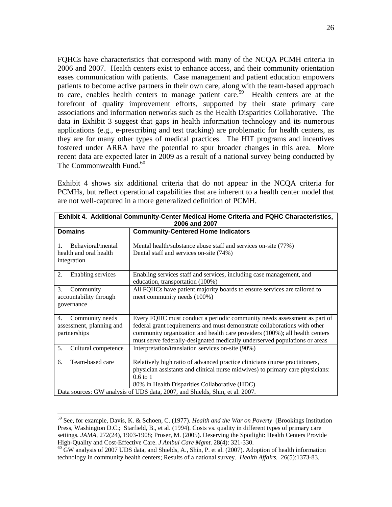FQHCs have characteristics that correspond with many of the NCQA PCMH criteria in 2006 and 2007. Health centers exist to enhance access, and their community orientation eases communication with patients. Case management and patient education empowers patients to become active partners in their own care, along with the team-based approach to care, enables health centers to manage patient care.<sup>59</sup> Health centers are at the forefront of quality improvement efforts, supported by their state primary care associations and information networks such as the Health Disparities Collaborative. The data in Exhibit 3 suggest that gaps in health information technology and its numerous applications (e.g., e-prescribing and test tracking) are problematic for health centers, as they are for many other types of medical practices. The HIT programs and incentives fostered under ARRA have the potential to spur broader changes in this area. More recent data are expected later in 2009 as a result of a national survey being conducted by The Commonwealth Fund. $60<sup>60</sup>$ 

Exhibit 4 shows six additional criteria that do not appear in the NCQA criteria for PCMHs, but reflect operational capabilities that are inherent to a health center model that are not well-captured in a more generalized definition of PCMH.

| Exhibit 4. Additional Community-Center Medical Home Criteria and FQHC Characteristics,<br>2006 and 2007 |                                                                                                                                                                                                                                                                                                                    |  |
|---------------------------------------------------------------------------------------------------------|--------------------------------------------------------------------------------------------------------------------------------------------------------------------------------------------------------------------------------------------------------------------------------------------------------------------|--|
| <b>Domains</b>                                                                                          | <b>Community-Centered Home Indicators</b>                                                                                                                                                                                                                                                                          |  |
| Behavioral/mental<br>$\mathbf{1}$ .<br>health and oral health<br>integration                            | Mental health/substance abuse staff and services on-site (77%)<br>Dental staff and services on-site (74%)                                                                                                                                                                                                          |  |
| 2.<br>Enabling services                                                                                 | Enabling services staff and services, including case management, and<br>education, transportation (100%)                                                                                                                                                                                                           |  |
| 3.<br>Community<br>accountability through<br>governance                                                 | All FQHCs have patient majority boards to ensure services are tailored to<br>meet community needs (100%)                                                                                                                                                                                                           |  |
| Community needs<br>4.<br>assessment, planning and<br>partnerships                                       | Every FQHC must conduct a periodic community needs assessment as part of<br>federal grant requirements and must demonstrate collaborations with other<br>community organization and health care providers (100%); all health centers<br>must serve federally-designated medically underserved populations or areas |  |
| 5.<br>Cultural competence                                                                               | Interpretation/translation services on-site (90%)                                                                                                                                                                                                                                                                  |  |
| Team-based care<br>6.                                                                                   | Relatively high ratio of advanced practice clinicians (nurse practitioners,<br>physician assistants and clinical nurse midwives) to primary care physicians:<br>$0.6$ to $1$<br>80% in Health Disparities Collaborative (HDC)                                                                                      |  |
| Data sources: GW analysis of UDS data, 2007, and Shields, Shin, et al. 2007.                            |                                                                                                                                                                                                                                                                                                                    |  |

<sup>59</sup> See, for example, Davis, K. & Schoen, C. (1977). *Health and the War on Poverty* (Brookings Institution Press, Washington D.C.; Starfield, B., et al. (1994). Costs vs. quality in different types of primary care settings*. JAMA*, 272(24), 1903-1908; Proser, M. (2005). Deserving the Spotlight: Health Centers Provide High-Quality and Cost-Effective Care. *J Ambul Care Mgmt*. 28(4): 321-330.<br><sup>60</sup> GW analysis of 2007 UDS data, and Shields, A., Shin, P. et al. (2007). Adoption of health information

technology in community health centers; Results of a national survey. *Health Affairs.* 26(5):1373-83.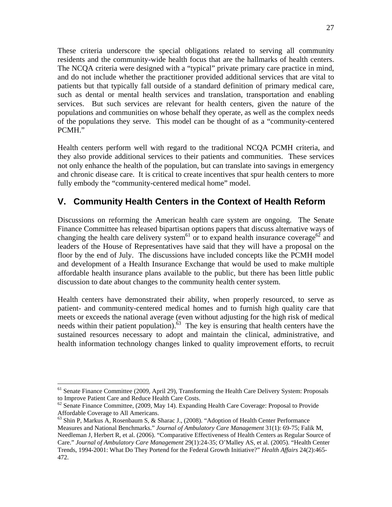These criteria underscore the special obligations related to serving all community residents and the community-wide health focus that are the hallmarks of health centers. The NCQA criteria were designed with a "typical" private primary care practice in mind, and do not include whether the practitioner provided additional services that are vital to patients but that typically fall outside of a standard definition of primary medical care, such as dental or mental health services and translation, transportation and enabling services. But such services are relevant for health centers, given the nature of the populations and communities on whose behalf they operate, as well as the complex needs of the populations they serve. This model can be thought of as a "community-centered PCMH."

Health centers perform well with regard to the traditional NCQA PCMH criteria, and they also provide additional services to their patients and communities. These services not only enhance the health of the population, but can translate into savings in emergency and chronic disease care. It is critical to create incentives that spur health centers to more fully embody the "community-centered medical home" model.

# **V. Community Health Centers in the Context of Health Reform**

Discussions on reforming the American health care system are ongoing. The Senate Finance Committee has released bipartisan options papers that discuss alternative ways of changing the health care delivery system<sup>61</sup> or to expand health insurance coverage<sup>62</sup> and leaders of the House of Representatives have said that they will have a proposal on the floor by the end of July. The discussions have included concepts like the PCMH model and development of a Health Insurance Exchange that would be used to make multiple affordable health insurance plans available to the public, but there has been little public discussion to date about changes to the community health center system.

Health centers have demonstrated their ability, when properly resourced, to serve as patient- and community-centered medical homes and to furnish high quality care that meets or exceeds the national average (even without adjusting for the high risk of medical needs within their patient population). $63$  The key is ensuring that health centers have the sustained resources necessary to adopt and maintain the clinical, administrative, and health information technology changes linked to quality improvement efforts, to recruit

<sup>&</sup>lt;sup>61</sup> Senate Finance Committee (2009, April 29), Transforming the Health Care Delivery System: Proposals to Improve Patient Care and Reduce Health Care Costs.

 $62$  Senate Finance Committee, (2009, May 14). Expanding Health Care Coverage: Proposal to Provide Affordable Coverage to All Americans.

<sup>&</sup>lt;sup>63</sup> Shin P, Markus A, Rosenbaum S, & Sharac J., (2008). "Adoption of Health Center Performance Measures and National Benchmarks." *Journal of Ambulatory Care Management* 31(1): 69-75; Falik M, Needleman J, Herbert R, et al. (2006). "Comparative Effectiveness of Health Centers as Regular Source of Care." *Journal of Ambulatory Care Management* 29(1):24-35; O'Malley AS, et al. (2005). "Health Center Trends, 1994-2001: What Do They Portend for the Federal Growth Initiative?" *Health Affairs* 24(2):465- 472.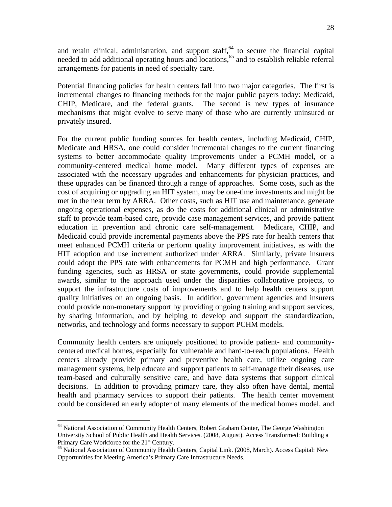and retain clinical, administration, and support staff,<sup>64</sup> to secure the financial capital needed to add additional operating hours and locations,<sup>65</sup> and to establish reliable referral arrangements for patients in need of specialty care.

Potential financing policies for health centers fall into two major categories. The first is incremental changes to financing methods for the major public payers today: Medicaid, CHIP, Medicare, and the federal grants. The second is new types of insurance mechanisms that might evolve to serve many of those who are currently uninsured or privately insured.

For the current public funding sources for health centers, including Medicaid, CHIP, Medicate and HRSA, one could consider incremental changes to the current financing systems to better accommodate quality improvements under a PCMH model, or a community-centered medical home model. Many different types of expenses are associated with the necessary upgrades and enhancements for physician practices, and these upgrades can be financed through a range of approaches. Some costs, such as the cost of acquiring or upgrading an HIT system, may be one-time investments and might be met in the near term by ARRA. Other costs, such as HIT use and maintenance, generate ongoing operational expenses, as do the costs for additional clinical or administrative staff to provide team-based care, provide case management services, and provide patient education in prevention and chronic care self-management. Medicare, CHIP, and Medicaid could provide incremental payments above the PPS rate for health centers that meet enhanced PCMH criteria or perform quality improvement initiatives, as with the HIT adoption and use increment authorized under ARRA. Similarly, private insurers could adopt the PPS rate with enhancements for PCMH and high performance. Grant funding agencies, such as HRSA or state governments, could provide supplemental awards, similar to the approach used under the disparities collaborative projects, to support the infrastructure costs of improvements and to help health centers support quality initiatives on an ongoing basis. In addition, government agencies and insurers could provide non-monetary support by providing ongoing training and support services, by sharing information, and by helping to develop and support the standardization, networks, and technology and forms necessary to support PCHM models.

Community health centers are uniquely positioned to provide patient- and communitycentered medical homes, especially for vulnerable and hard-to-reach populations. Health centers already provide primary and preventive health care, utilize ongoing care management systems, help educate and support patients to self-manage their diseases, use team-based and culturally sensitive care, and have data systems that support clinical decisions. In addition to providing primary care, they also often have dental, mental health and pharmacy services to support their patients. The health center movement could be considered an early adopter of many elements of the medical homes model, and

<sup>&</sup>lt;sup>64</sup> National Association of Community Health Centers, Robert Graham Center, The George Washington University School of Public Health and Health Services. (2008, August). Access Transformed: Building a Primary Care Workforce for the 21<sup>st</sup> Century.<br><sup>65</sup> National Association of Community Health Centers, Capital Link. (2008, March). Access Capital: New

Opportunities for Meeting America's Primary Care Infrastructure Needs.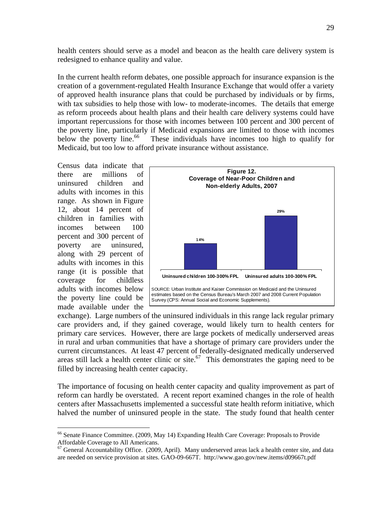health centers should serve as a model and beacon as the health care delivery system is redesigned to enhance quality and value.

In the current health reform debates, one possible approach for insurance expansion is the creation of a government-regulated Health Insurance Exchange that would offer a variety of approved health insurance plans that could be purchased by individuals or by firms, with tax subsidies to help those with low- to moderate-incomes. The details that emerge as reform proceeds about health plans and their health care delivery systems could have important repercussions for those with incomes between 100 percent and 300 percent of the poverty line, particularly if Medicaid expansions are limited to those with incomes below the poverty line.<sup>66</sup> These individuals have incomes too high to qualify for Medicaid, but too low to afford private insurance without assistance.

Census data indicate that there are millions of uninsured children and adults with incomes in this range. As shown in Figure 12, about 14 percent of children in families with incomes between 100 percent and 300 percent of poverty are uninsured, along with 29 percent of adults with incomes in this range (it is possible that coverage for childless adults with incomes below the poverty line could be made available under the

<u>.</u>



exchange). Large numbers of the uninsured individuals in this range lack regular primary care providers and, if they gained coverage, would likely turn to health centers for primary care services. However, there are large pockets of medically underserved areas in rural and urban communities that have a shortage of primary care providers under the current circumstances. At least 47 percent of federally-designated medically underserved areas still lack a health center clinic or site. $67$  This demonstrates the gaping need to be filled by increasing health center capacity.

The importance of focusing on health center capacity and quality improvement as part of reform can hardly be overstated. A recent report examined changes in the role of health centers after Massachusetts implemented a successful state health reform initiative, which halved the number of uninsured people in the state. The study found that health center

<sup>66</sup> Senate Finance Committee. (2009, May 14) Expanding Health Care Coverage: Proposals to Provide Affordable Coverage to All Americans.

<sup>&</sup>lt;sup>67</sup> General Accountability Office. (2009, April). Many underserved areas lack a health center site, and data are needed on service provision at sites. GAO-09-667T. http://www.gao.gov/new.items/d09667t.pdf